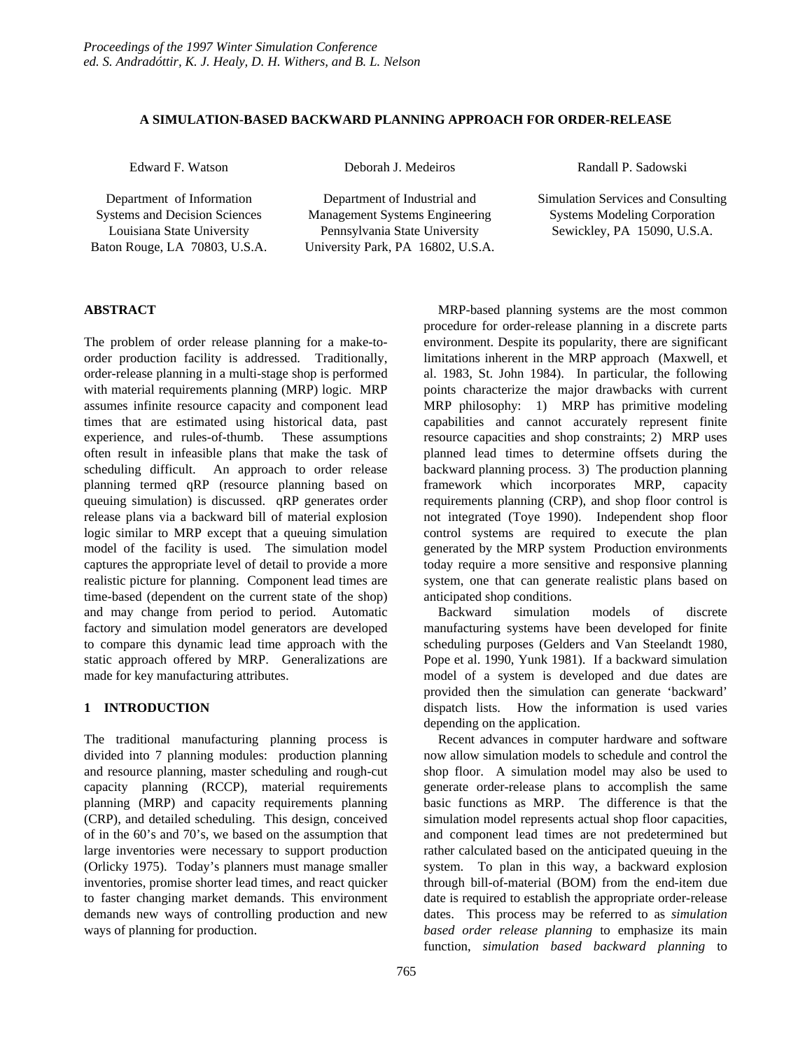## **A SIMULATION-BASED BACKWARD PLANNING APPROACH FOR ORDER-RELEASE**

Edward F. Watson Deborah J. Medeiros Randall P. Sadowski

Department of Information Department of Industrial and Simulation Services and Consulting Systems and Decision Sciences Management Systems Engineering Systems Modeling Corporation Louisiana State University Pennsylvania State University Sewickley, PA 15090, U.S.A. Baton Rouge, LA 70803, U.S.A. University Park, PA 16802, U.S.A.

# **ABSTRACT**

The problem of order release planning for a make-toorder production facility is addressed. Traditionally, order-release planning in a multi-stage shop is performed with material requirements planning (MRP) logic. MRP assumes infinite resource capacity and component lead times that are estimated using historical data, past experience, and rules-of-thumb. These assumptions often result in infeasible plans that make the task of scheduling difficult. An approach to order release planning termed qRP (resource planning based on queuing simulation) is discussed. qRP generates order release plans via a backward bill of material explosion logic similar to MRP except that a queuing simulation model of the facility is used. The simulation model captures the appropriate level of detail to provide a more realistic picture for planning. Component lead times are time-based (dependent on the current state of the shop) and may change from period to period. Automatic factory and simulation model generators are developed to compare this dynamic lead time approach with the static approach offered by MRP. Generalizations are made for key manufacturing attributes.

## **1 INTRODUCTION**

The traditional manufacturing planning process is divided into 7 planning modules: production planning and resource planning, master scheduling and rough-cut capacity planning (RCCP), material requirements planning (MRP) and capacity requirements planning (CRP), and detailed scheduling. This design, conceived of in the 60's and 70's, we based on the assumption that large inventories were necessary to support production (Orlicky 1975). Today's planners must manage smaller inventories, promise shorter lead times, and react quicker to faster changing market demands. This environment demands new ways of controlling production and new ways of planning for production.

MRP-based planning systems are the most common procedure for order-release planning in a discrete parts environment. Despite its popularity, there are significant limitations inherent in the MRP approach (Maxwell, et al. 1983, St. John 1984). In particular, the following points characterize the major drawbacks with current MRP philosophy: 1) MRP has primitive modeling capabilities and cannot accurately represent finite resource capacities and shop constraints; 2) MRP uses planned lead times to determine offsets during the backward planning process. 3) The production planning framework which incorporates MRP, capacity requirements planning (CRP), and shop floor control is not integrated (Toye 1990). Independent shop floor control systems are required to execute the plan generated by the MRP system Production environments today require a more sensitive and responsive planning system, one that can generate realistic plans based on anticipated shop conditions.

Backward simulation models of discrete manufacturing systems have been developed for finite scheduling purposes (Gelders and Van Steelandt 1980, Pope et al. 1990, Yunk 1981). If a backward simulation model of a system is developed and due dates are provided then the simulation can generate 'backward' dispatch lists. How the information is used varies depending on the application.

Recent advances in computer hardware and software now allow simulation models to schedule and control the shop floor. A simulation model may also be used to generate order-release plans to accomplish the same basic functions as MRP. The difference is that the simulation model represents actual shop floor capacities, and component lead times are not predetermined but rather calculated based on the anticipated queuing in the system. To plan in this way, a backward explosion through bill-of-material (BOM) from the end-item due date is required to establish the appropriate order-release dates. This process may be referred to as *simulation based order release planning* to emphasize its main function, *simulation based backward planning* to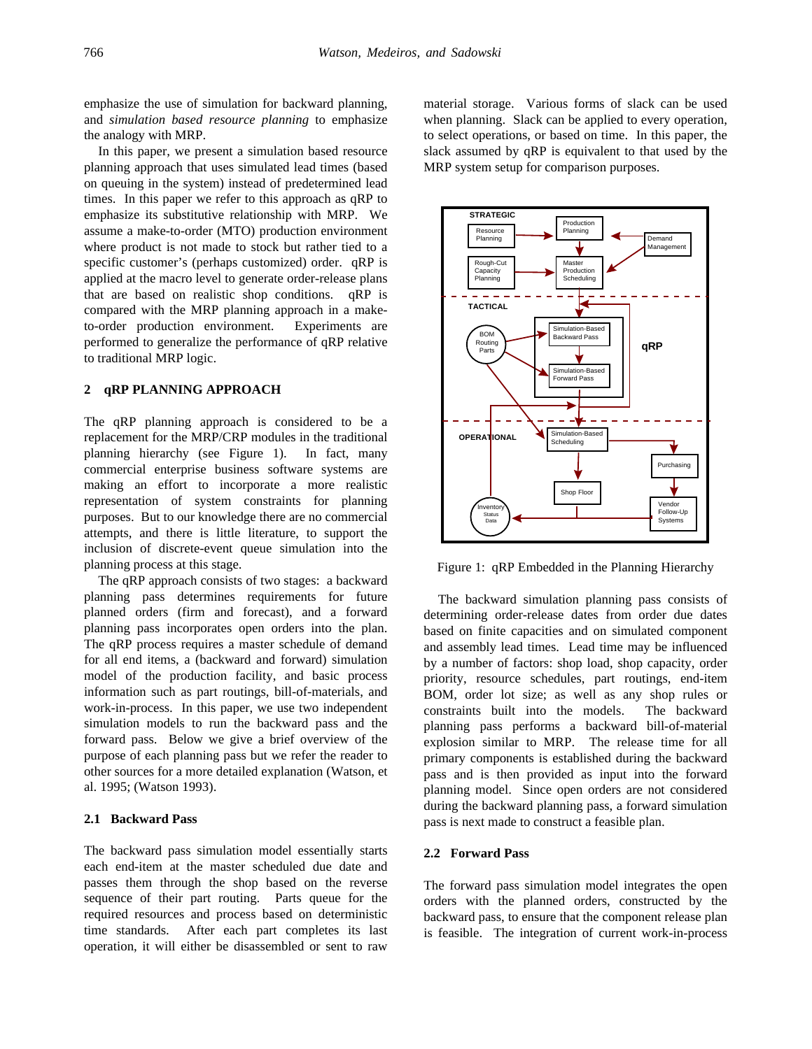emphasize the use of simulation for backward planning, and *simulation based resource planning* to emphasize the analogy with MRP.

In this paper, we present a simulation based resource planning approach that uses simulated lead times (based on queuing in the system) instead of predetermined lead times. In this paper we refer to this approach as qRP to emphasize its substitutive relationship with MRP. We assume a make-to-order (MTO) production environment where product is not made to stock but rather tied to a specific customer's (perhaps customized) order. qRP is applied at the macro level to generate order-release plans that are based on realistic shop conditions. qRP is compared with the MRP planning approach in a maketo-order production environment. Experiments are performed to generalize the performance of qRP relative to traditional MRP logic.

### **2 qRP PLANNING APPROACH**

The qRP planning approach is considered to be a replacement for the MRP/CRP modules in the traditional planning hierarchy (see Figure 1). In fact, many commercial enterprise business software systems are making an effort to incorporate a more realistic representation of system constraints for planning purposes. But to our knowledge there are no commercial attempts, and there is little literature, to support the inclusion of discrete-event queue simulation into the planning process at this stage.

The qRP approach consists of two stages: a backward planning pass determines requirements for future planned orders (firm and forecast), and a forward planning pass incorporates open orders into the plan. The qRP process requires a master schedule of demand for all end items, a (backward and forward) simulation model of the production facility, and basic process information such as part routings, bill-of-materials, and work-in-process. In this paper, we use two independent simulation models to run the backward pass and the forward pass. Below we give a brief overview of the purpose of each planning pass but we refer the reader to other sources for a more detailed explanation (Watson, et al. 1995; (Watson 1993).

### **2.1 Backward Pass**

The backward pass simulation model essentially starts each end-item at the master scheduled due date and passes them through the shop based on the reverse sequence of their part routing. Parts queue for the required resources and process based on deterministic time standards. After each part completes its last operation, it will either be disassembled or sent to raw

material storage. Various forms of slack can be used when planning. Slack can be applied to every operation, to select operations, or based on time. In this paper, the slack assumed by qRP is equivalent to that used by the MRP system setup for comparison purposes.



Figure 1: qRP Embedded in the Planning Hierarchy

The backward simulation planning pass consists of determining order-release dates from order due dates based on finite capacities and on simulated component and assembly lead times. Lead time may be influenced by a number of factors: shop load, shop capacity, order priority, resource schedules, part routings, end-item BOM, order lot size; as well as any shop rules or constraints built into the models. The backward planning pass performs a backward bill-of-material explosion similar to MRP. The release time for all primary components is established during the backward pass and is then provided as input into the forward planning model. Since open orders are not considered during the backward planning pass, a forward simulation pass is next made to construct a feasible plan.

### **2.2 Forward Pass**

The forward pass simulation model integrates the open orders with the planned orders, constructed by the backward pass, to ensure that the component release plan is feasible. The integration of current work-in-process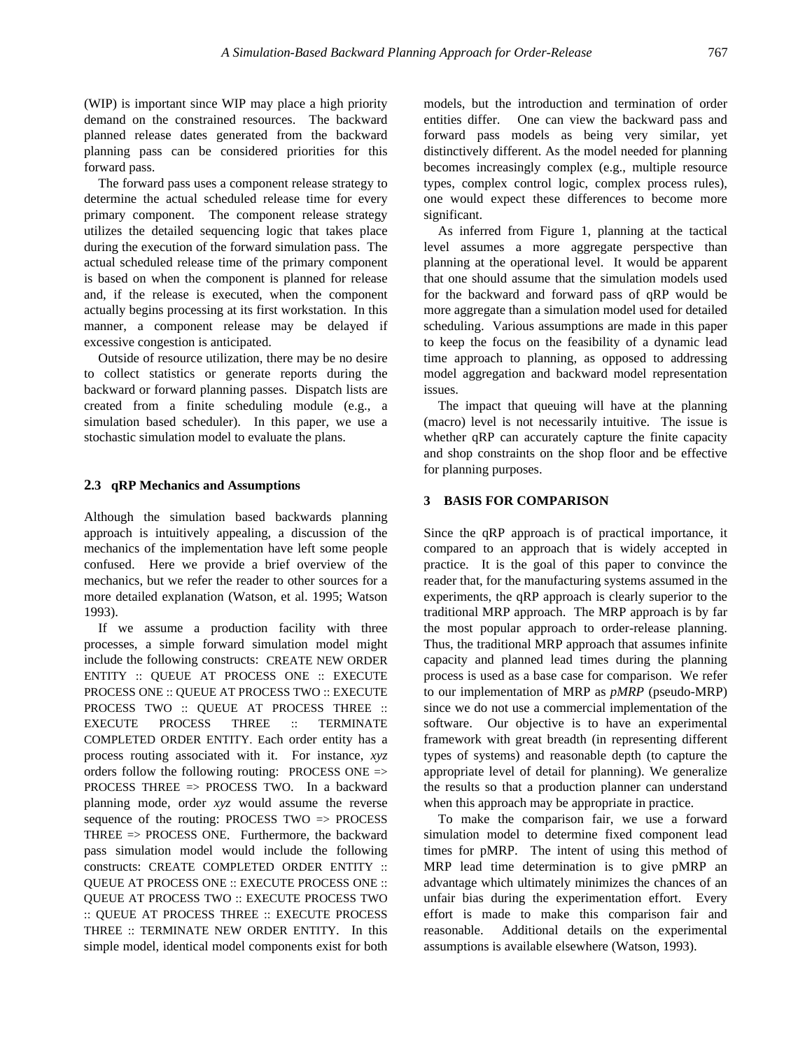(WIP) is important since WIP may place a high priority demand on the constrained resources. The backward planned release dates generated from the backward planning pass can be considered priorities for this forward pass.

The forward pass uses a component release strategy to determine the actual scheduled release time for every primary component. The component release strategy utilizes the detailed sequencing logic that takes place during the execution of the forward simulation pass. The actual scheduled release time of the primary component is based on when the component is planned for release and, if the release is executed, when the component actually begins processing at its first workstation. In this manner, a component release may be delayed if excessive congestion is anticipated.

Outside of resource utilization, there may be no desire to collect statistics or generate reports during the backward or forward planning passes. Dispatch lists are created from a finite scheduling module (e.g., a simulation based scheduler). In this paper, we use a stochastic simulation model to evaluate the plans.

#### **2.3 qRP Mechanics and Assumptions**

Although the simulation based backwards planning approach is intuitively appealing, a discussion of the mechanics of the implementation have left some people confused. Here we provide a brief overview of the mechanics, but we refer the reader to other sources for a more detailed explanation (Watson, et al. 1995; Watson 1993).

If we assume a production facility with three processes, a simple forward simulation model might include the following constructs: CREATE NEW ORDER ENTITY :: QUEUE AT PROCESS ONE :: EXECUTE PROCESS ONE :: QUEUE AT PROCESS TWO :: EXECUTE PROCESS TWO :: QUEUE AT PROCESS THREE :: EXECUTE PROCESS THREE :: TERMINATE COMPLETED ORDER ENTITY. Each order entity has a process routing associated with it. For instance, *xyz* orders follow the following routing: PROCESS ONE => PROCESS THREE => PROCESS TWO. In a backward planning mode, order *xyz* would assume the reverse sequence of the routing: PROCESS TWO => PROCESS THREE => PROCESS ONE. Furthermore, the backward pass simulation model would include the following constructs: CREATE COMPLETED ORDER ENTITY :: QUEUE AT PROCESS ONE :: EXECUTE PROCESS ONE :: QUEUE AT PROCESS TWO :: EXECUTE PROCESS TWO :: QUEUE AT PROCESS THREE :: EXECUTE PROCESS THREE :: TERMINATE NEW ORDER ENTITY. In this simple model, identical model components exist for both models, but the introduction and termination of order entities differ. One can view the backward pass and forward pass models as being very similar, yet distinctively different. As the model needed for planning becomes increasingly complex (e.g., multiple resource types, complex control logic, complex process rules), one would expect these differences to become more significant.

As inferred from Figure 1, planning at the tactical level assumes a more aggregate perspective than planning at the operational level. It would be apparent that one should assume that the simulation models used for the backward and forward pass of qRP would be more aggregate than a simulation model used for detailed scheduling. Various assumptions are made in this paper to keep the focus on the feasibility of a dynamic lead time approach to planning, as opposed to addressing model aggregation and backward model representation issues.

The impact that queuing will have at the planning (macro) level is not necessarily intuitive. The issue is whether qRP can accurately capture the finite capacity and shop constraints on the shop floor and be effective for planning purposes.

## **3 BASIS FOR COMPARISON**

Since the qRP approach is of practical importance, it compared to an approach that is widely accepted in practice. It is the goal of this paper to convince the reader that, for the manufacturing systems assumed in the experiments, the qRP approach is clearly superior to the traditional MRP approach. The MRP approach is by far the most popular approach to order-release planning. Thus, the traditional MRP approach that assumes infinite capacity and planned lead times during the planning process is used as a base case for comparison. We refer to our implementation of MRP as *pMRP* (pseudo-MRP) since we do not use a commercial implementation of the software. Our objective is to have an experimental framework with great breadth (in representing different types of systems) and reasonable depth (to capture the appropriate level of detail for planning). We generalize the results so that a production planner can understand when this approach may be appropriate in practice.

To make the comparison fair, we use a forward simulation model to determine fixed component lead times for pMRP. The intent of using this method of MRP lead time determination is to give pMRP an advantage which ultimately minimizes the chances of an unfair bias during the experimentation effort. Every effort is made to make this comparison fair and reasonable. Additional details on the experimental assumptions is available elsewhere (Watson, 1993).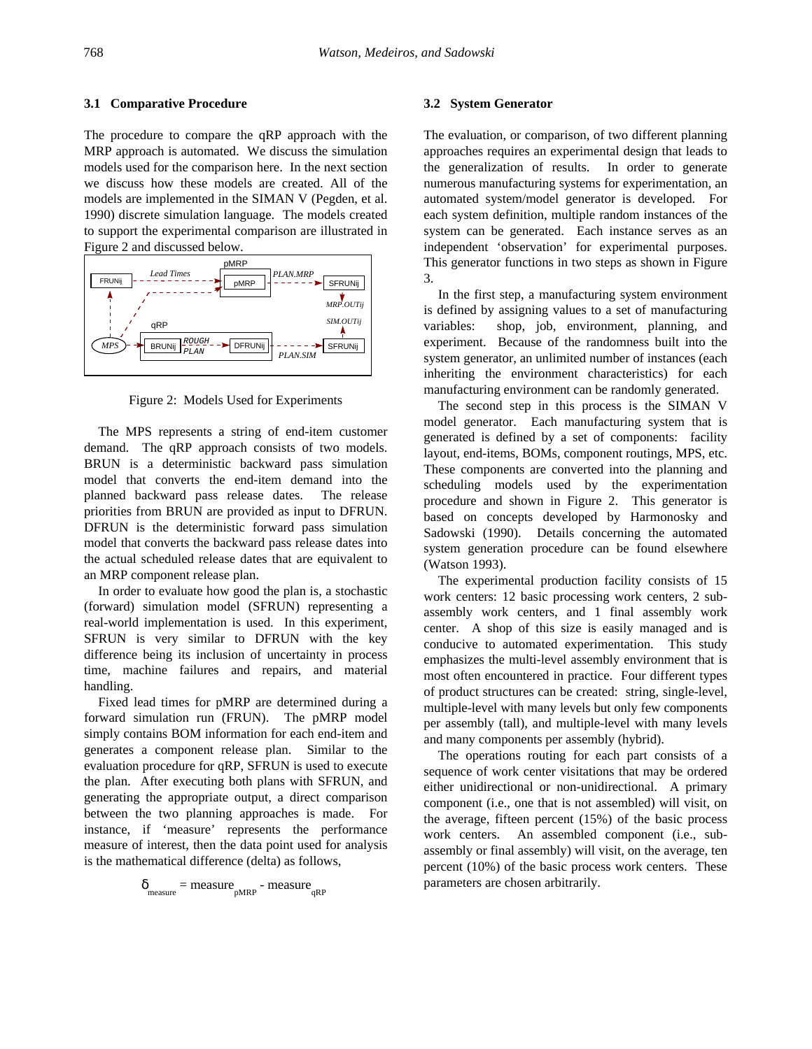### **3.1 Comparative Procedure**

The procedure to compare the qRP approach with the MRP approach is automated. We discuss the simulation models used for the comparison here. In the next section we discuss how these models are created. All of the models are implemented in the SIMAN V (Pegden, et al. 1990) discrete simulation language. The models created to support the experimental comparison are illustrated in Figure 2 and discussed below.





The MPS represents a string of end-item customer demand. The qRP approach consists of two models. BRUN is a deterministic backward pass simulation model that converts the end-item demand into the planned backward pass release dates. The release priorities from BRUN are provided as input to DFRUN. DFRUN is the deterministic forward pass simulation model that converts the backward pass release dates into the actual scheduled release dates that are equivalent to an MRP component release plan.

In order to evaluate how good the plan is, a stochastic (forward) simulation model (SFRUN) representing a real-world implementation is used. In this experiment, SFRUN is very similar to DFRUN with the key difference being its inclusion of uncertainty in process time, machine failures and repairs, and material handling.

Fixed lead times for pMRP are determined during a forward simulation run (FRUN). The pMRP model simply contains BOM information for each end-item and generates a component release plan. Similar to the evaluation procedure for qRP, SFRUN is used to execute the plan. After executing both plans with SFRUN, and generating the appropriate output, a direct comparison between the two planning approaches is made. For instance, if 'measure' represents the performance measure of interest, then the data point used for analysis is the mathematical difference (delta) as follows,

$$
\delta_{\text{measure}} = \text{measure}_{\text{pMRP}} - \text{measure}_{\text{qRP}}
$$

#### **3.2 System Generator**

The evaluation, or comparison, of two different planning approaches requires an experimental design that leads to the generalization of results. In order to generate numerous manufacturing systems for experimentation, an automated system/model generator is developed. For each system definition, multiple random instances of the system can be generated. Each instance serves as an independent 'observation' for experimental purposes. This generator functions in two steps as shown in Figure 3.

In the first step, a manufacturing system environment is defined by assigning values to a set of manufacturing variables: shop, job, environment, planning, and experiment. Because of the randomness built into the system generator, an unlimited number of instances (each inheriting the environment characteristics) for each manufacturing environment can be randomly generated.

The second step in this process is the SIMAN V model generator. Each manufacturing system that is generated is defined by a set of components: facility layout, end-items, BOMs, component routings, MPS, etc. These components are converted into the planning and scheduling models used by the experimentation procedure and shown in Figure 2. This generator is based on concepts developed by Harmonosky and Sadowski (1990). Details concerning the automated system generation procedure can be found elsewhere (Watson 1993).

The experimental production facility consists of 15 work centers: 12 basic processing work centers, 2 subassembly work centers, and 1 final assembly work center. A shop of this size is easily managed and is conducive to automated experimentation. This study emphasizes the multi-level assembly environment that is most often encountered in practice. Four different types of product structures can be created: string, single-level, multiple-level with many levels but only few components per assembly (tall), and multiple-level with many levels and many components per assembly (hybrid).

The operations routing for each part consists of a sequence of work center visitations that may be ordered either unidirectional or non-unidirectional. A primary component (i.e., one that is not assembled) will visit, on the average, fifteen percent (15%) of the basic process work centers. An assembled component (i.e., subassembly or final assembly) will visit, on the average, ten percent (10%) of the basic process work centers. These parameters are chosen arbitrarily.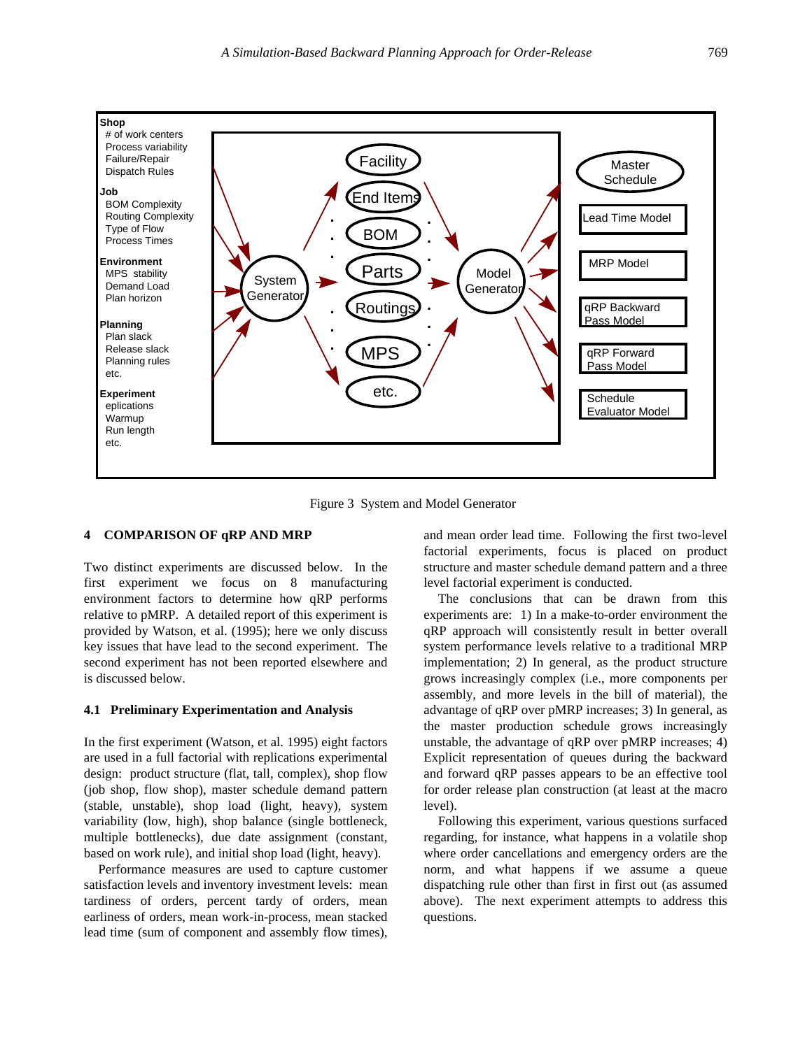

Figure 3 System and Model Generator

### **4 COMPARISON OF qRP AND MRP**

Two distinct experiments are discussed below. In the first experiment we focus on 8 manufacturing environment factors to determine how qRP performs relative to pMRP. A detailed report of this experiment is provided by Watson, et al. (1995); here we only discuss key issues that have lead to the second experiment. The second experiment has not been reported elsewhere and is discussed below.

#### **4.1 Preliminary Experimentation and Analysis**

In the first experiment (Watson, et al. 1995) eight factors are used in a full factorial with replications experimental design: product structure (flat, tall, complex), shop flow (job shop, flow shop), master schedule demand pattern (stable, unstable), shop load (light, heavy), system variability (low, high), shop balance (single bottleneck, multiple bottlenecks), due date assignment (constant, based on work rule), and initial shop load (light, heavy).

Performance measures are used to capture customer satisfaction levels and inventory investment levels: mean tardiness of orders, percent tardy of orders, mean earliness of orders, mean work-in-process, mean stacked lead time (sum of component and assembly flow times),

and mean order lead time. Following the first two-level factorial experiments, focus is placed on product structure and master schedule demand pattern and a three level factorial experiment is conducted.

The conclusions that can be drawn from this experiments are: 1) In a make-to-order environment the qRP approach will consistently result in better overall system performance levels relative to a traditional MRP implementation; 2) In general, as the product structure grows increasingly complex (i.e., more components per assembly, and more levels in the bill of material), the advantage of qRP over pMRP increases; 3) In general, as the master production schedule grows increasingly unstable, the advantage of qRP over pMRP increases; 4) Explicit representation of queues during the backward and forward qRP passes appears to be an effective tool for order release plan construction (at least at the macro level).

Following this experiment, various questions surfaced regarding, for instance, what happens in a volatile shop where order cancellations and emergency orders are the norm, and what happens if we assume a queue dispatching rule other than first in first out (as assumed above). The next experiment attempts to address this questions.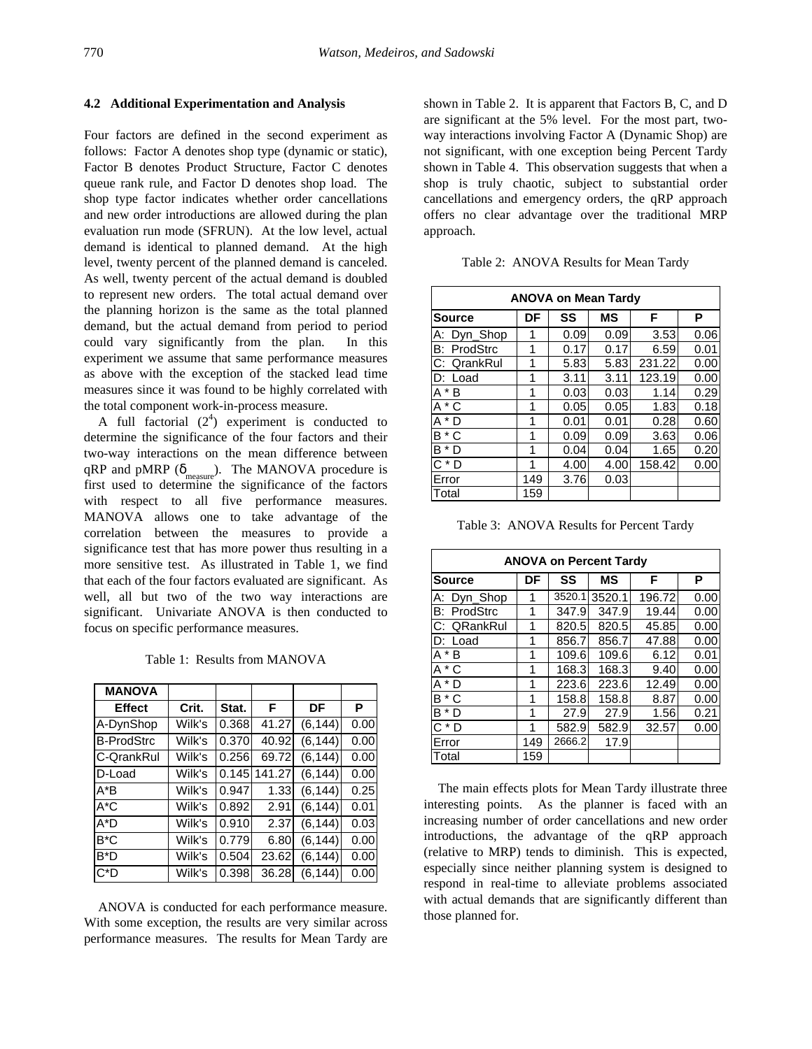#### **4.2 Additional Experimentation and Analysis**

Four factors are defined in the second experiment as follows: Factor A denotes shop type (dynamic or static), Factor B denotes Product Structure, Factor C denotes queue rank rule, and Factor D denotes shop load. The shop type factor indicates whether order cancellations and new order introductions are allowed during the plan evaluation run mode (SFRUN). At the low level, actual demand is identical to planned demand. At the high level, twenty percent of the planned demand is canceled. As well, twenty percent of the actual demand is doubled to represent new orders. The total actual demand over the planning horizon is the same as the total planned demand, but the actual demand from period to period could vary significantly from the plan. In this experiment we assume that same performance measures as above with the exception of the stacked lead time measures since it was found to be highly correlated with the total component work-in-process measure.

A full factorial  $(2^4)$  experiment is conducted to determine the significance of the four factors and their two-way interactions on the mean difference between qRP and pMRP ( $\delta_{\text{measure}}$ ). The MANOVA procedure is first used to determine the significance of the factors with respect to all five performance measures. MANOVA allows one to take advantage of the correlation between the measures to provide a significance test that has more power thus resulting in a more sensitive test. As illustrated in Table 1, we find that each of the four factors evaluated are significant. As well, all but two of the two way interactions are significant. Univariate ANOVA is then conducted to focus on specific performance measures.

Table 1: Results from MANOVA

| <b>MANOVA</b>     |        |       |        |          |      |
|-------------------|--------|-------|--------|----------|------|
| <b>Effect</b>     | Crit.  | Stat. | F      | DF       | P    |
| A-DynShop         | Wilk's | 0.368 | 41.27  | (6, 144) | 0.00 |
| <b>B-ProdStrc</b> | Wilk's | 0.370 | 40.92  | (6, 144) | 0.00 |
| C-QrankRul        | Wilk's | 0.256 | 69.72  | (6, 144) | 0.00 |
| D-Load            | Wilk's | 0.145 | 141.27 | (6, 144) | 0.00 |
| $A^*B$            | Wilk's | 0.947 | 1.33   | (6, 144) | 0.25 |
| $A^*C$            | Wilk's | 0.892 | 2.91   | (6.144)  | 0.01 |
| $A^*D$            | Wilk's | 0.910 | 2.37   | (6, 144) | 0.03 |
| B*C               | Wilk's | 0.779 | 6.80   | (6, 144) | 0.00 |
| B*D               | Wilk's | 0.504 | 23.62  | (6, 144) | 0.00 |
| C*D               | Wilk's | 0.398 | 36.28  | (6, 144) | 0.00 |

ANOVA is conducted for each performance measure. With some exception, the results are very similar across performance measures. The results for Mean Tardy are

shown in Table 2. It is apparent that Factors B, C, and D are significant at the 5% level. For the most part, twoway interactions involving Factor A (Dynamic Shop) are not significant, with one exception being Percent Tardy shown in Table 4. This observation suggests that when a shop is truly chaotic, subject to substantial order cancellations and emergency orders, the qRP approach offers no clear advantage over the traditional MRP approach.

Table 2: ANOVA Results for Mean Tardy

| <b>ANOVA on Mean Tardy</b> |     |      |           |        |      |
|----------------------------|-----|------|-----------|--------|------|
| <b>Source</b>              | DF  | SS   | <b>MS</b> | F      | Р    |
| A: Dyn_Shop                | 1   | 0.09 | 0.09      | 3.53   | 0.06 |
| <b>B: ProdStrc</b>         | 1   | 0.17 | 0.17      | 6.59   | 0.01 |
| C: QrankRul                | 1   | 5.83 | 5.83      | 231.22 | 0.00 |
| D: Load                    | 1   | 3.11 | 3.11      | 123.19 | 0.00 |
| $A * B$                    | 1   | 0.03 | 0.03      | 1.14   | 0.29 |
| $A * C$                    | 1   | 0.05 | 0.05      | 1.83   | 0.18 |
| $A^*D$                     | 1   | 0.01 | 0.01      | 0.28   | 0.60 |
| $B * C$                    | 1   | 0.09 | 0.09      | 3.63   | 0.06 |
| $B^*D$                     | 1   | 0.04 | 0.04      | 1.65   | 0.20 |
| $C * D$                    | 1   | 4.00 | 4.00      | 158.42 | 0.00 |
| Error                      | 149 | 3.76 | 0.03      |        |      |
| Total                      | 159 |      |           |        |      |

Table 3: ANOVA Results for Percent Tardy

| <b>ANOVA on Percent Tardy</b> |     |        |           |        |      |
|-------------------------------|-----|--------|-----------|--------|------|
| <b>Source</b>                 | DF  | SS     | <b>MS</b> | F      | Р    |
| A: Dyn_Shop                   | 1   | 3520.1 | 3520.1    | 196.72 | 0.00 |
| <b>B: ProdStrc</b>            | 1   | 347.9  | 347.9     | 19.44  | 0.00 |
| C: QRankRul                   | 1   | 820.5  | 820.5     | 45.85  | 0.00 |
| $D:$ Load                     | 1   | 856.7  | 856.7     | 47.88  | 0.00 |
| $A * B$                       | 1   | 109.6  | 109.6     | 6.12   | 0.01 |
| $A * C$                       | 1   | 168.3  | 168.3     | 9.40   | 0.00 |
| $A^*D$                        | 1   | 223.6  | 223.6     | 12.49  | 0.00 |
| $B * C$                       | 1   | 158.8  | 158.8     | 8.87   | 0.00 |
| $B^*D$                        | 1   | 27.9   | 27.9      | 1.56   | 0.21 |
| $C * D$                       | 1   | 582.9  | 582.9     | 32.57  | 0.00 |
| Error                         | 149 | 2666.2 | 17.9      |        |      |
| Total                         | 159 |        |           |        |      |

The main effects plots for Mean Tardy illustrate three interesting points. As the planner is faced with an increasing number of order cancellations and new order introductions, the advantage of the qRP approach (relative to MRP) tends to diminish. This is expected, especially since neither planning system is designed to respond in real-time to alleviate problems associated with actual demands that are significantly different than those planned for.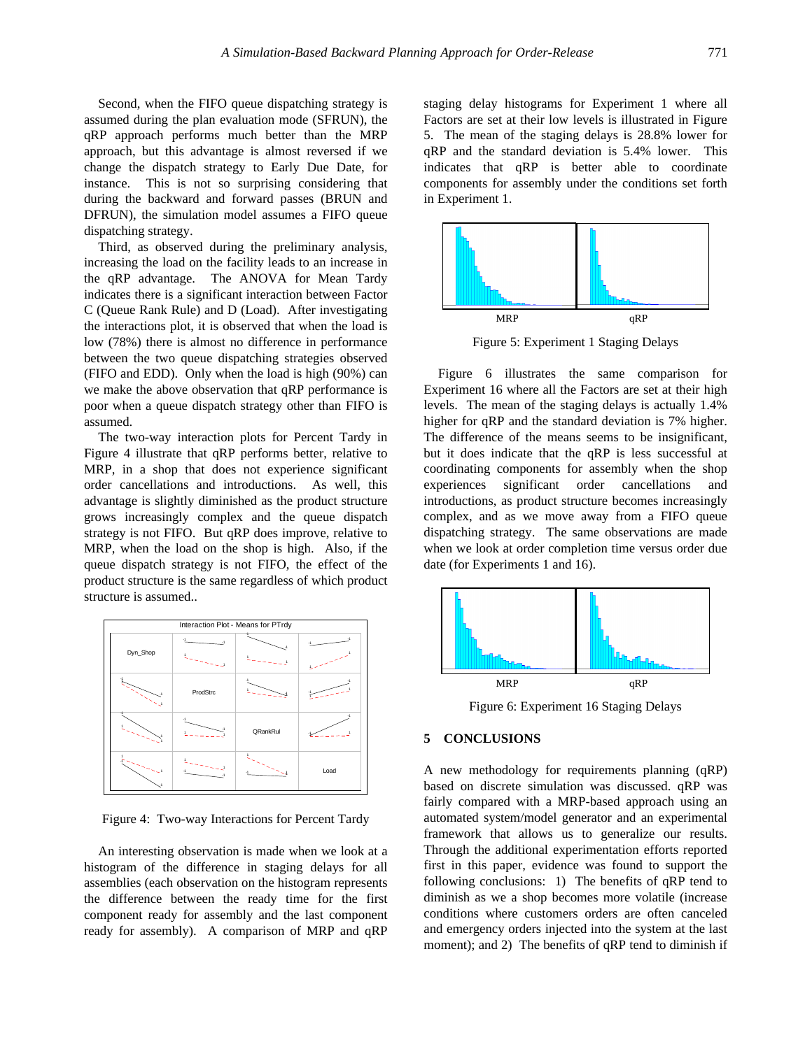Second, when the FIFO queue dispatching strategy is assumed during the plan evaluation mode (SFRUN), the qRP approach performs much better than the MRP approach, but this advantage is almost reversed if we change the dispatch strategy to Early Due Date, for instance. This is not so surprising considering that during the backward and forward passes (BRUN and DFRUN), the simulation model assumes a FIFO queue dispatching strategy.

Third, as observed during the preliminary analysis, increasing the load on the facility leads to an increase in the qRP advantage. The ANOVA for Mean Tardy indicates there is a significant interaction between Factor C (Queue Rank Rule) and D (Load). After investigating the interactions plot, it is observed that when the load is low (78%) there is almost no difference in performance between the two queue dispatching strategies observed (FIFO and EDD). Only when the load is high (90%) can we make the above observation that qRP performance is poor when a queue dispatch strategy other than FIFO is assumed.

The two-way interaction plots for Percent Tardy in Figure 4 illustrate that qRP performs better, relative to MRP, in a shop that does not experience significant order cancellations and introductions. As well, this advantage is slightly diminished as the product structure grows increasingly complex and the queue dispatch strategy is not FIFO. But qRP does improve, relative to MRP, when the load on the shop is high. Also, if the queue dispatch strategy is not FIFO, the effect of the product structure is the same regardless of which product structure is assumed..

| Interaction Plot - Means for PTrdy |          |          |      |  |
|------------------------------------|----------|----------|------|--|
| Dyn_Shop                           |          |          | ×,   |  |
|                                    | ProdStrc |          |      |  |
|                                    |          | QRankRul |      |  |
|                                    |          |          | Load |  |

Figure 4: Two-way Interactions for Percent Tardy

An interesting observation is made when we look at a histogram of the difference in staging delays for all assemblies (each observation on the histogram represents the difference between the ready time for the first component ready for assembly and the last component ready for assembly). A comparison of MRP and qRP

staging delay histograms for Experiment 1 where all Factors are set at their low levels is illustrated in Figure 5. The mean of the staging delays is 28.8% lower for qRP and the standard deviation is 5.4% lower. This indicates that qRP is better able to coordinate components for assembly under the conditions set forth in Experiment 1.



Figure 5: Experiment 1 Staging Delays

Figure 6 illustrates the same comparison for Experiment 16 where all the Factors are set at their high levels. The mean of the staging delays is actually 1.4% higher for qRP and the standard deviation is 7% higher. The difference of the means seems to be insignificant, but it does indicate that the qRP is less successful at coordinating components for assembly when the shop experiences significant order cancellations and introductions, as product structure becomes increasingly complex, and as we move away from a FIFO queue dispatching strategy. The same observations are made when we look at order completion time versus order due date (for Experiments 1 and 16).



Figure 6: Experiment 16 Staging Delays

#### **5 CONCLUSIONS**

A new methodology for requirements planning (qRP) based on discrete simulation was discussed. qRP was fairly compared with a MRP-based approach using an automated system/model generator and an experimental framework that allows us to generalize our results. Through the additional experimentation efforts reported first in this paper, evidence was found to support the following conclusions: 1) The benefits of qRP tend to diminish as we a shop becomes more volatile (increase conditions where customers orders are often canceled and emergency orders injected into the system at the last moment); and 2) The benefits of qRP tend to diminish if